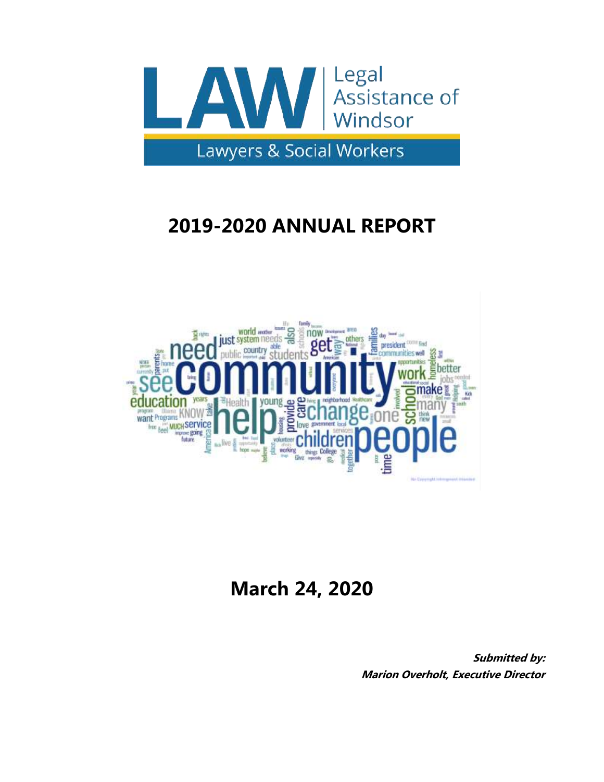

# **2019-2020 ANNUAL REPORT**



# **March 24, 2020**

**Submitted by: Marion Overholt, Executive Director**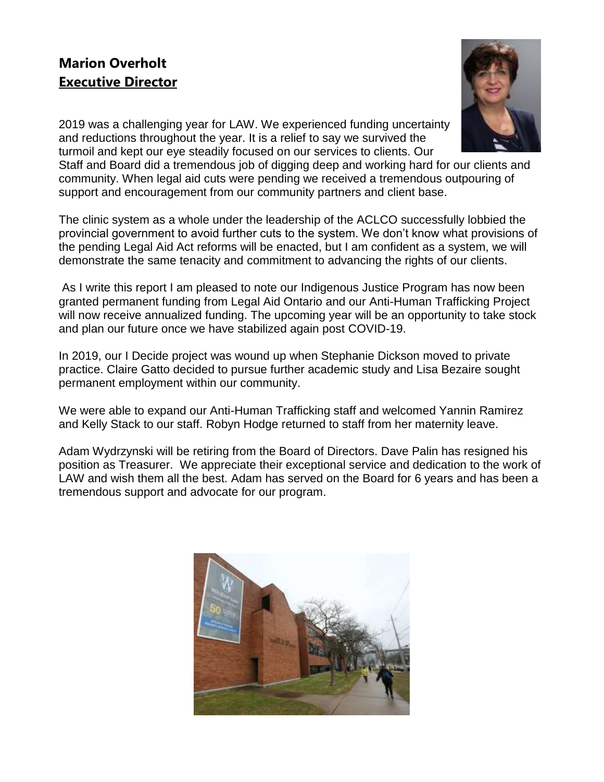## **Marion Overholt Executive Director**



2019 was a challenging year for LAW. We experienced funding uncertainty and reductions throughout the year. It is a relief to say we survived the turmoil and kept our eye steadily focused on our services to clients. Our

Staff and Board did a tremendous job of digging deep and working hard for our clients and community. When legal aid cuts were pending we received a tremendous outpouring of support and encouragement from our community partners and client base.

The clinic system as a whole under the leadership of the ACLCO successfully lobbied the provincial government to avoid further cuts to the system. We don't know what provisions of the pending Legal Aid Act reforms will be enacted, but I am confident as a system, we will demonstrate the same tenacity and commitment to advancing the rights of our clients.

As I write this report I am pleased to note our Indigenous Justice Program has now been granted permanent funding from Legal Aid Ontario and our Anti-Human Trafficking Project will now receive annualized funding. The upcoming year will be an opportunity to take stock and plan our future once we have stabilized again post COVID-19.

In 2019, our I Decide project was wound up when Stephanie Dickson moved to private practice. Claire Gatto decided to pursue further academic study and Lisa Bezaire sought permanent employment within our community.

We were able to expand our Anti-Human Trafficking staff and welcomed Yannin Ramirez and Kelly Stack to our staff. Robyn Hodge returned to staff from her maternity leave.

Adam Wydrzynski will be retiring from the Board of Directors. Dave Palin has resigned his position as Treasurer. We appreciate their exceptional service and dedication to the work of LAW and wish them all the best. Adam has served on the Board for 6 years and has been a tremendous support and advocate for our program.

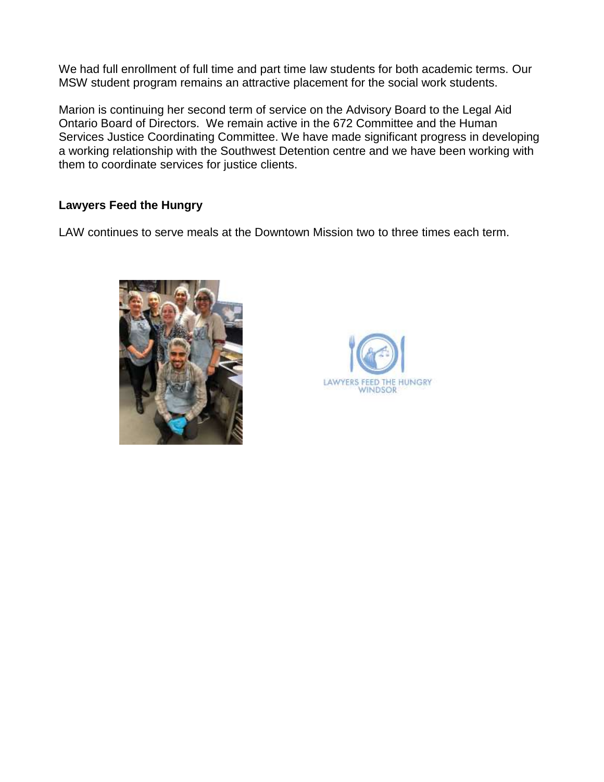We had full enrollment of full time and part time law students for both academic terms. Our MSW student program remains an attractive placement for the social work students.

Marion is continuing her second term of service on the Advisory Board to the Legal Aid Ontario Board of Directors. We remain active in the 672 Committee and the Human Services Justice Coordinating Committee. We have made significant progress in developing a working relationship with the Southwest Detention centre and we have been working with them to coordinate services for justice clients.

## **Lawyers Feed the Hungry**

LAW continues to serve meals at the Downtown Mission two to three times each term.



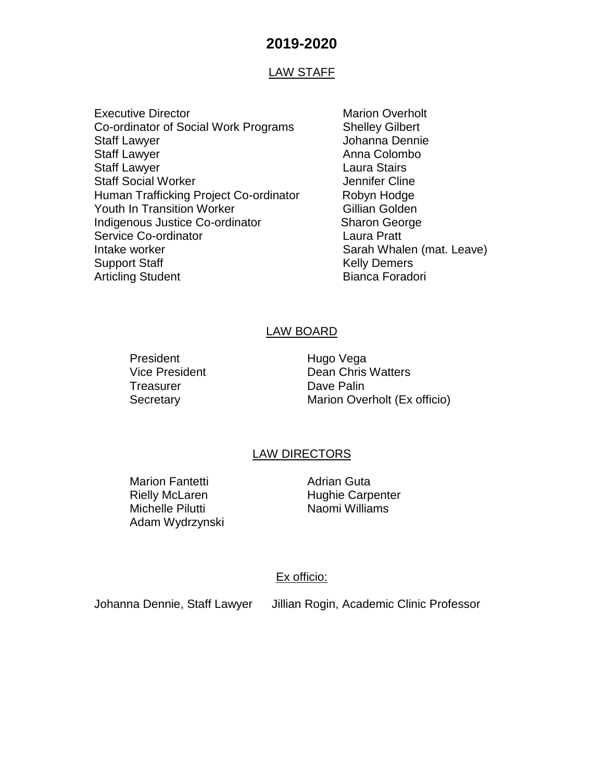## **2019-2020**

#### LAW STAFF

- Executive Director **Marion Overholt** Marion Overholt Co-ordinator of Social Work Programs Shelley Gilbert Staff Lawyer **Gramma** Dennie Staff Lawyer **Anna Colombo** Anna Colombo Staff Lawyer **Laura Stairs Laura Stairs** Staff Social Worker **Jennifer Cline** Human Trafficking Project Co-ordinator Robyn Hodge Youth In Transition Worker **Gillian Golden** Indigenous Justice Co-ordinator Sharon George Service Co-ordinator **Laura Pratt** Intake worker **Sarah Whalen (mat. Leave)** Sarah Whalen (mat. Leave) Support Staff Kelly Demers Articling Student **Bianca Foradori** 
	-

#### LAW BOARD

President Hugo Vega Treasurer **Dave Palin** 

Vice President **Dean Chris Watters** Secretary Marion Overholt (Ex officio)

#### LAW DIRECTORS

Marion Fantetti **Adrian Guta** Michelle Pilutti Naomi Williams Adam Wydrzynski

Rielly McLaren **Hughie Carpenter** 

#### Ex officio:

Johanna Dennie, Staff Lawyer Jillian Rogin, Academic Clinic Professor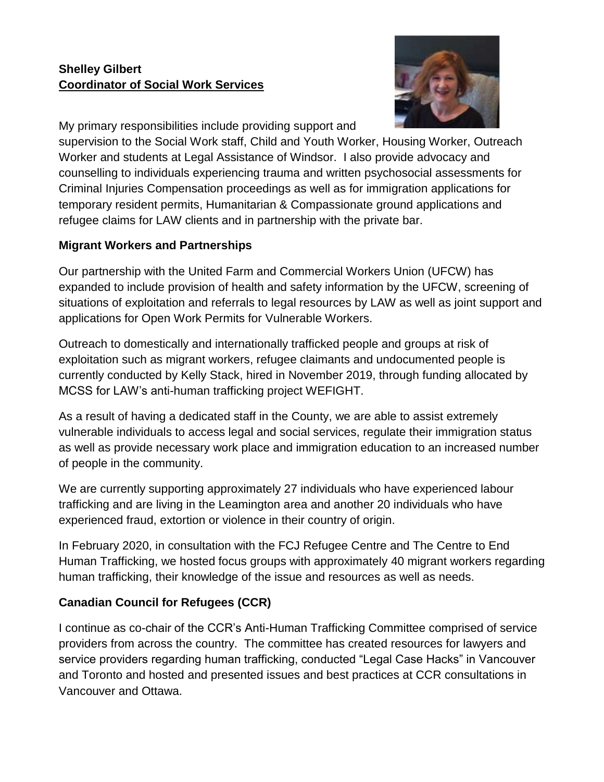## **Shelley Gilbert Coordinator of Social Work Services**



My primary responsibilities include providing support and

supervision to the Social Work staff, Child and Youth Worker, Housing Worker, Outreach Worker and students at Legal Assistance of Windsor. I also provide advocacy and counselling to individuals experiencing trauma and written psychosocial assessments for Criminal Injuries Compensation proceedings as well as for immigration applications for temporary resident permits, Humanitarian & Compassionate ground applications and refugee claims for LAW clients and in partnership with the private bar.

## **Migrant Workers and Partnerships**

Our partnership with the United Farm and Commercial Workers Union (UFCW) has expanded to include provision of health and safety information by the UFCW, screening of situations of exploitation and referrals to legal resources by LAW as well as joint support and applications for Open Work Permits for Vulnerable Workers.

Outreach to domestically and internationally trafficked people and groups at risk of exploitation such as migrant workers, refugee claimants and undocumented people is currently conducted by Kelly Stack, hired in November 2019, through funding allocated by MCSS for LAW's anti-human trafficking project WEFIGHT.

As a result of having a dedicated staff in the County, we are able to assist extremely vulnerable individuals to access legal and social services, regulate their immigration status as well as provide necessary work place and immigration education to an increased number of people in the community.

We are currently supporting approximately 27 individuals who have experienced labour trafficking and are living in the Leamington area and another 20 individuals who have experienced fraud, extortion or violence in their country of origin.

In February 2020, in consultation with the FCJ Refugee Centre and The Centre to End Human Trafficking, we hosted focus groups with approximately 40 migrant workers regarding human trafficking, their knowledge of the issue and resources as well as needs.

## **Canadian Council for Refugees (CCR)**

I continue as co-chair of the CCR's Anti-Human Trafficking Committee comprised of service providers from across the country. The committee has created resources for lawyers and service providers regarding human trafficking, conducted "Legal Case Hacks" in Vancouver and Toronto and hosted and presented issues and best practices at CCR consultations in Vancouver and Ottawa.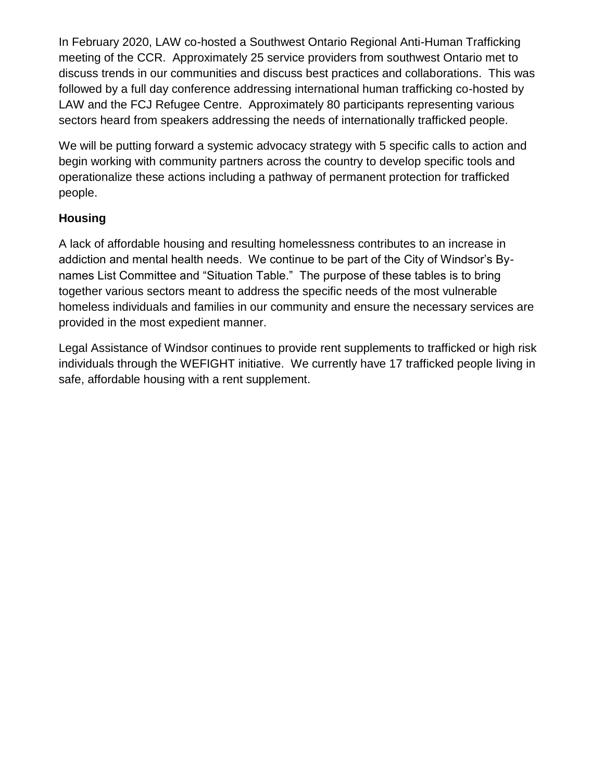In February 2020, LAW co-hosted a Southwest Ontario Regional Anti-Human Trafficking meeting of the CCR. Approximately 25 service providers from southwest Ontario met to discuss trends in our communities and discuss best practices and collaborations. This was followed by a full day conference addressing international human trafficking co-hosted by LAW and the FCJ Refugee Centre. Approximately 80 participants representing various sectors heard from speakers addressing the needs of internationally trafficked people.

We will be putting forward a systemic advocacy strategy with 5 specific calls to action and begin working with community partners across the country to develop specific tools and operationalize these actions including a pathway of permanent protection for trafficked people.

## **Housing**

A lack of affordable housing and resulting homelessness contributes to an increase in addiction and mental health needs. We continue to be part of the City of Windsor's Bynames List Committee and "Situation Table." The purpose of these tables is to bring together various sectors meant to address the specific needs of the most vulnerable homeless individuals and families in our community and ensure the necessary services are provided in the most expedient manner.

Legal Assistance of Windsor continues to provide rent supplements to trafficked or high risk individuals through the WEFIGHT initiative. We currently have 17 trafficked people living in safe, affordable housing with a rent supplement.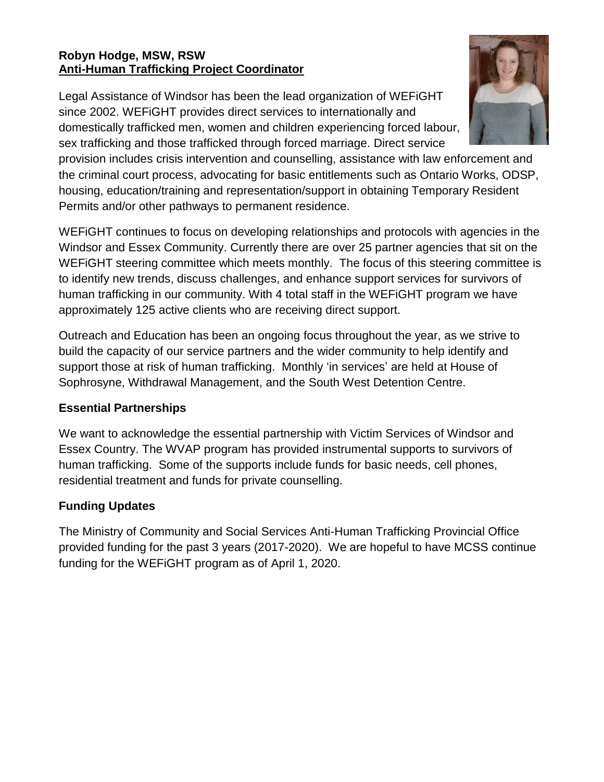## **Robyn Hodge, MSW, RSW Anti-Human Trafficking Project Coordinator**

Legal Assistance of Windsor has been the lead organization of WEFiGHT since 2002. WEFiGHT provides direct services to internationally and domestically trafficked men, women and children experiencing forced labour, sex trafficking and those trafficked through forced marriage. Direct service



provision includes crisis intervention and counselling, assistance with law enforcement and the criminal court process, advocating for basic entitlements such as Ontario Works, ODSP, housing, education/training and representation/support in obtaining Temporary Resident Permits and/or other pathways to permanent residence.

WEFiGHT continues to focus on developing relationships and protocols with agencies in the Windsor and Essex Community. Currently there are over 25 partner agencies that sit on the WEFiGHT steering committee which meets monthly. The focus of this steering committee is to identify new trends, discuss challenges, and enhance support services for survivors of human trafficking in our community. With 4 total staff in the WEFiGHT program we have approximately 125 active clients who are receiving direct support.

Outreach and Education has been an ongoing focus throughout the year, as we strive to build the capacity of our service partners and the wider community to help identify and support those at risk of human trafficking. Monthly 'in services' are held at House of Sophrosyne, Withdrawal Management, and the South West Detention Centre.

## **Essential Partnerships**

We want to acknowledge the essential partnership with Victim Services of Windsor and Essex Country. The WVAP program has provided instrumental supports to survivors of human trafficking. Some of the supports include funds for basic needs, cell phones, residential treatment and funds for private counselling.

## **Funding Updates**

The Ministry of Community and Social Services Anti-Human Trafficking Provincial Office provided funding for the past 3 years (2017-2020). We are hopeful to have MCSS continue funding for the WEFiGHT program as of April 1, 2020.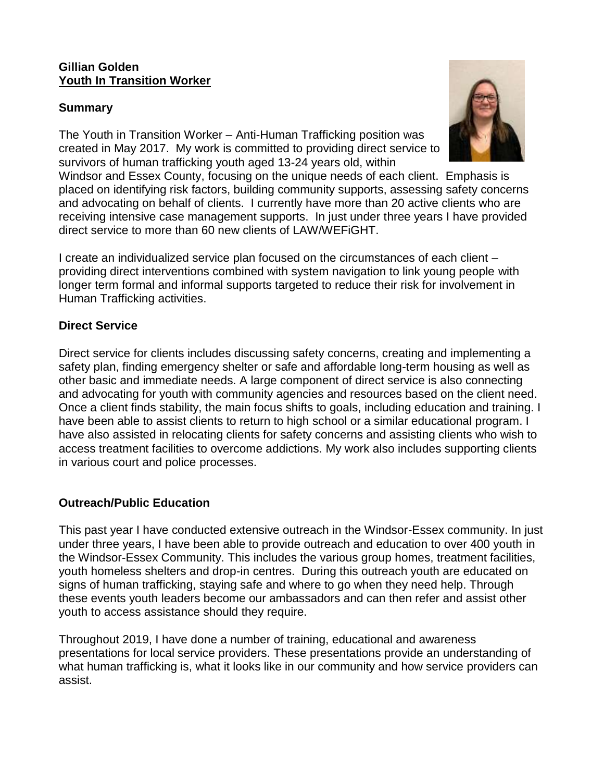#### **Gillian Golden Youth In Transition Worker**

## **Summary**

The Youth in Transition Worker – Anti-Human Trafficking position was created in May 2017. My work is committed to providing direct service to survivors of human trafficking youth aged 13-24 years old, within

Windsor and Essex County, focusing on the unique needs of each client. Emphasis is placed on identifying risk factors, building community supports, assessing safety concerns and advocating on behalf of clients. I currently have more than 20 active clients who are receiving intensive case management supports. In just under three years I have provided direct service to more than 60 new clients of LAW/WEFiGHT.

I create an individualized service plan focused on the circumstances of each client – providing direct interventions combined with system navigation to link young people with longer term formal and informal supports targeted to reduce their risk for involvement in Human Trafficking activities.

## **Direct Service**

Direct service for clients includes discussing safety concerns, creating and implementing a safety plan, finding emergency shelter or safe and affordable long-term housing as well as other basic and immediate needs. A large component of direct service is also connecting and advocating for youth with community agencies and resources based on the client need. Once a client finds stability, the main focus shifts to goals, including education and training. I have been able to assist clients to return to high school or a similar educational program. I have also assisted in relocating clients for safety concerns and assisting clients who wish to access treatment facilities to overcome addictions. My work also includes supporting clients in various court and police processes.

## **Outreach/Public Education**

This past year I have conducted extensive outreach in the Windsor-Essex community. In just under three years, I have been able to provide outreach and education to over 400 youth in the Windsor-Essex Community. This includes the various group homes, treatment facilities, youth homeless shelters and drop-in centres. During this outreach youth are educated on signs of human trafficking, staying safe and where to go when they need help. Through these events youth leaders become our ambassadors and can then refer and assist other youth to access assistance should they require.

Throughout 2019, I have done a number of training, educational and awareness presentations for local service providers. These presentations provide an understanding of what human trafficking is, what it looks like in our community and how service providers can assist.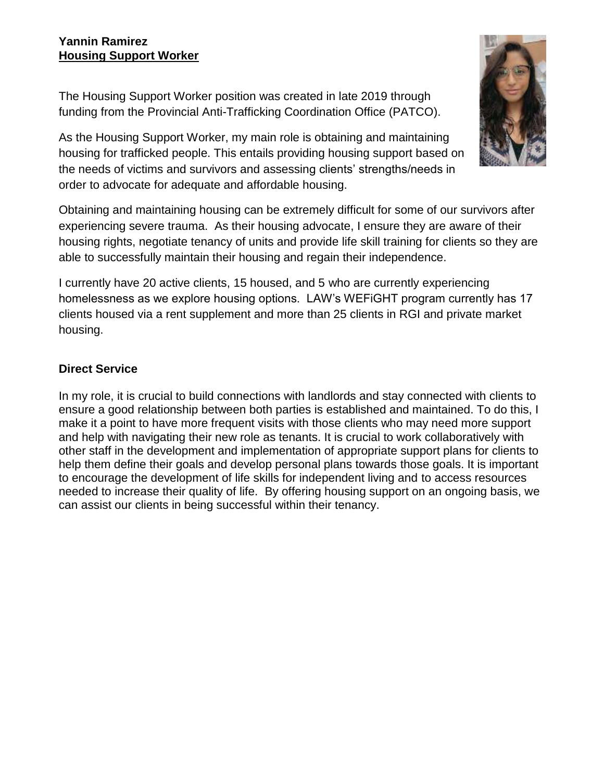## **Yannin Ramirez Housing Support Worker**

The Housing Support Worker position was created in late 2019 through funding from the Provincial Anti-Trafficking Coordination Office (PATCO).

As the Housing Support Worker, my main role is obtaining and maintaining housing for trafficked people. This entails providing housing support based on the needs of victims and survivors and assessing clients' strengths/needs in order to advocate for adequate and affordable housing.

Obtaining and maintaining housing can be extremely difficult for some of our survivors after experiencing severe trauma. As their housing advocate, I ensure they are aware of their housing rights, negotiate tenancy of units and provide life skill training for clients so they are able to successfully maintain their housing and regain their independence.

I currently have 20 active clients, 15 housed, and 5 who are currently experiencing homelessness as we explore housing options. LAW's WEFiGHT program currently has 17 clients housed via a rent supplement and more than 25 clients in RGI and private market housing.

## **Direct Service**

In my role, it is crucial to build connections with landlords and stay connected with clients to ensure a good relationship between both parties is established and maintained. To do this, I make it a point to have more frequent visits with those clients who may need more support and help with navigating their new role as tenants. It is crucial to work collaboratively with other staff in the development and implementation of appropriate support plans for clients to help them define their goals and develop personal plans towards those goals. It is important to encourage the development of life skills for independent living and to access resources needed to increase their quality of life. By offering housing support on an ongoing basis, we can assist our clients in being successful within their tenancy.

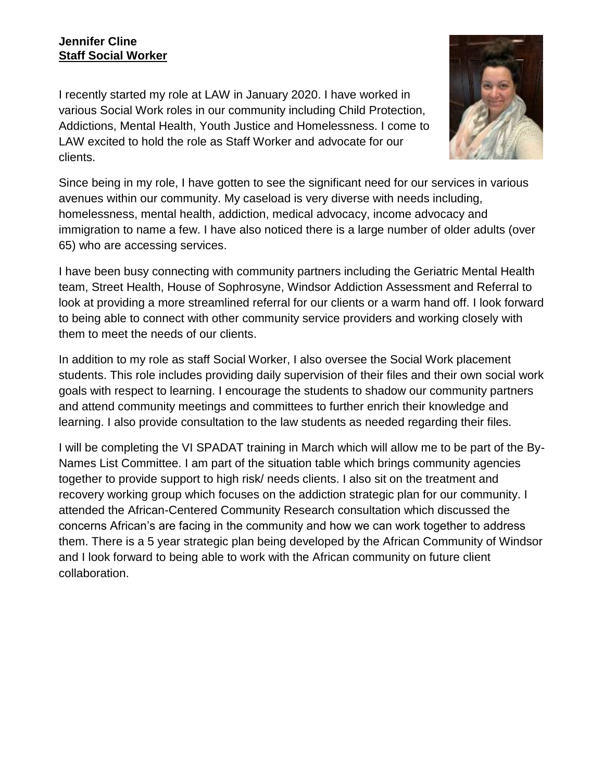## **Jennifer Cline Staff Social Worker**

I recently started my role at LAW in January 2020. I have worked in various Social Work roles in our community including Child Protection, Addictions, Mental Health, Youth Justice and Homelessness. I come to LAW excited to hold the role as Staff Worker and advocate for our clients.



Since being in my role, I have gotten to see the significant need for our services in various avenues within our community. My caseload is very diverse with needs including, homelessness, mental health, addiction, medical advocacy, income advocacy and immigration to name a few. I have also noticed there is a large number of older adults (over 65) who are accessing services.

I have been busy connecting with community partners including the Geriatric Mental Health team, Street Health, House of Sophrosyne, Windsor Addiction Assessment and Referral to look at providing a more streamlined referral for our clients or a warm hand off. I look forward to being able to connect with other community service providers and working closely with them to meet the needs of our clients.

In addition to my role as staff Social Worker, I also oversee the Social Work placement students. This role includes providing daily supervision of their files and their own social work goals with respect to learning. I encourage the students to shadow our community partners and attend community meetings and committees to further enrich their knowledge and learning. I also provide consultation to the law students as needed regarding their files.

I will be completing the VI SPADAT training in March which will allow me to be part of the By-Names List Committee. I am part of the situation table which brings community agencies together to provide support to high risk/ needs clients. I also sit on the treatment and recovery working group which focuses on the addiction strategic plan for our community. I attended the African-Centered Community Research consultation which discussed the concerns African's are facing in the community and how we can work together to address them. There is a 5 year strategic plan being developed by the African Community of Windsor and I look forward to being able to work with the African community on future client collaboration.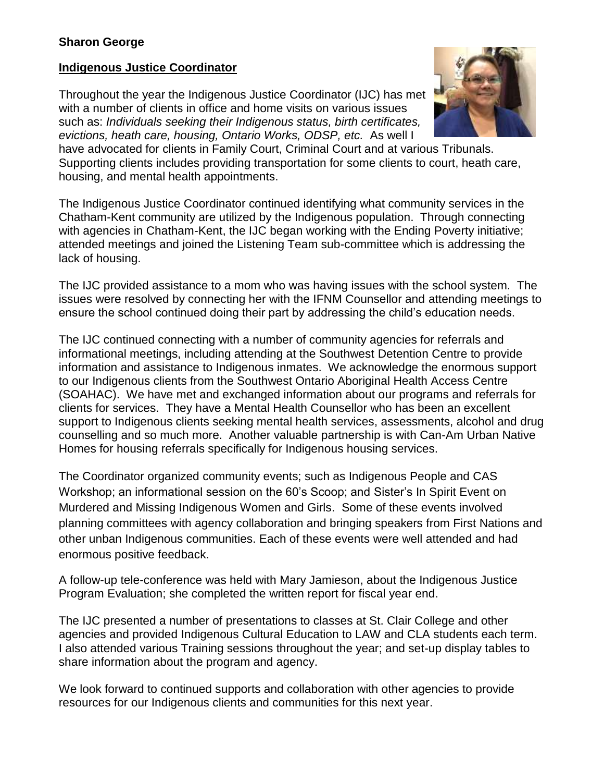## **Indigenous Justice Coordinator**

Throughout the year the Indigenous Justice Coordinator (IJC) has met with a number of clients in office and home visits on various issues such as: *Individuals seeking their Indigenous status, birth certificates, evictions, heath care, housing, Ontario Works, ODSP, etc.* As well I



have advocated for clients in Family Court, Criminal Court and at various Tribunals. Supporting clients includes providing transportation for some clients to court, heath care, housing, and mental health appointments.

The Indigenous Justice Coordinator continued identifying what community services in the Chatham-Kent community are utilized by the Indigenous population. Through connecting with agencies in Chatham-Kent, the IJC began working with the Ending Poverty initiative; attended meetings and joined the Listening Team sub-committee which is addressing the lack of housing.

The IJC provided assistance to a mom who was having issues with the school system. The issues were resolved by connecting her with the IFNM Counsellor and attending meetings to ensure the school continued doing their part by addressing the child's education needs.

The IJC continued connecting with a number of community agencies for referrals and informational meetings, including attending at the Southwest Detention Centre to provide information and assistance to Indigenous inmates. We acknowledge the enormous support to our Indigenous clients from the Southwest Ontario Aboriginal Health Access Centre (SOAHAC). We have met and exchanged information about our programs and referrals for clients for services. They have a Mental Health Counsellor who has been an excellent support to Indigenous clients seeking mental health services, assessments, alcohol and drug counselling and so much more. Another valuable partnership is with Can-Am Urban Native Homes for housing referrals specifically for Indigenous housing services.

The Coordinator organized community events; such as Indigenous People and CAS Workshop; an informational session on the 60's Scoop; and Sister's In Spirit Event on Murdered and Missing Indigenous Women and Girls. Some of these events involved planning committees with agency collaboration and bringing speakers from First Nations and other unban Indigenous communities. Each of these events were well attended and had enormous positive feedback.

A follow-up tele-conference was held with Mary Jamieson, about the Indigenous Justice Program Evaluation; she completed the written report for fiscal year end.

The IJC presented a number of presentations to classes at St. Clair College and other agencies and provided Indigenous Cultural Education to LAW and CLA students each term. I also attended various Training sessions throughout the year; and set-up display tables to share information about the program and agency.

We look forward to continued supports and collaboration with other agencies to provide resources for our Indigenous clients and communities for this next year.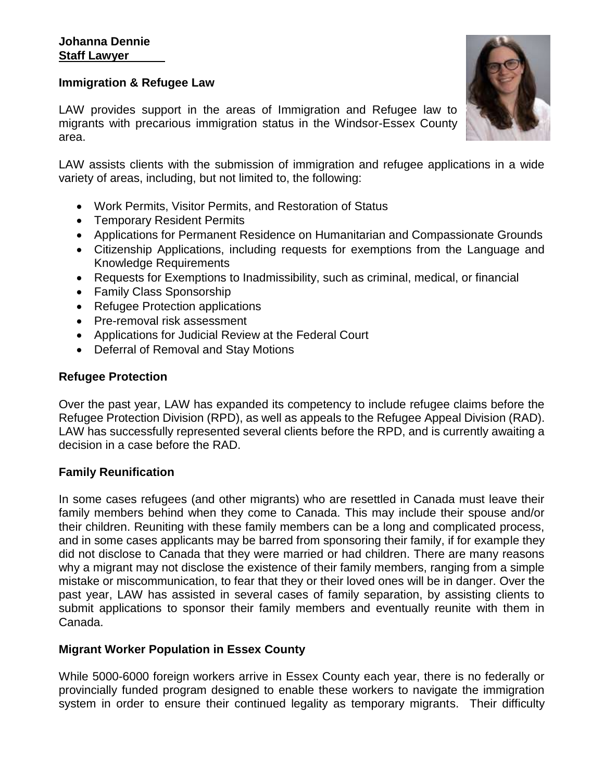#### **Immigration & Refugee Law**

LAW provides support in the areas of Immigration and Refugee law to migrants with precarious immigration status in the Windsor-Essex County area.

LAW assists clients with the submission of immigration and refugee applications in a wide variety of areas, including, but not limited to, the following:

- Work Permits, Visitor Permits, and Restoration of Status
- Temporary Resident Permits
- Applications for Permanent Residence on Humanitarian and Compassionate Grounds
- Citizenship Applications, including requests for exemptions from the Language and Knowledge Requirements
- Requests for Exemptions to Inadmissibility, such as criminal, medical, or financial
- Family Class Sponsorship
- Refugee Protection applications
- Pre-removal risk assessment
- Applications for Judicial Review at the Federal Court
- Deferral of Removal and Stay Motions

#### **Refugee Protection**

Over the past year, LAW has expanded its competency to include refugee claims before the Refugee Protection Division (RPD), as well as appeals to the Refugee Appeal Division (RAD). LAW has successfully represented several clients before the RPD, and is currently awaiting a decision in a case before the RAD.

#### **Family Reunification**

In some cases refugees (and other migrants) who are resettled in Canada must leave their family members behind when they come to Canada. This may include their spouse and/or their children. Reuniting with these family members can be a long and complicated process, and in some cases applicants may be barred from sponsoring their family, if for example they did not disclose to Canada that they were married or had children. There are many reasons why a migrant may not disclose the existence of their family members, ranging from a simple mistake or miscommunication, to fear that they or their loved ones will be in danger. Over the past year, LAW has assisted in several cases of family separation, by assisting clients to submit applications to sponsor their family members and eventually reunite with them in Canada.

#### **Migrant Worker Population in Essex County**

While 5000-6000 foreign workers arrive in Essex County each year, there is no federally or provincially funded program designed to enable these workers to navigate the immigration system in order to ensure their continued legality as temporary migrants. Their difficulty

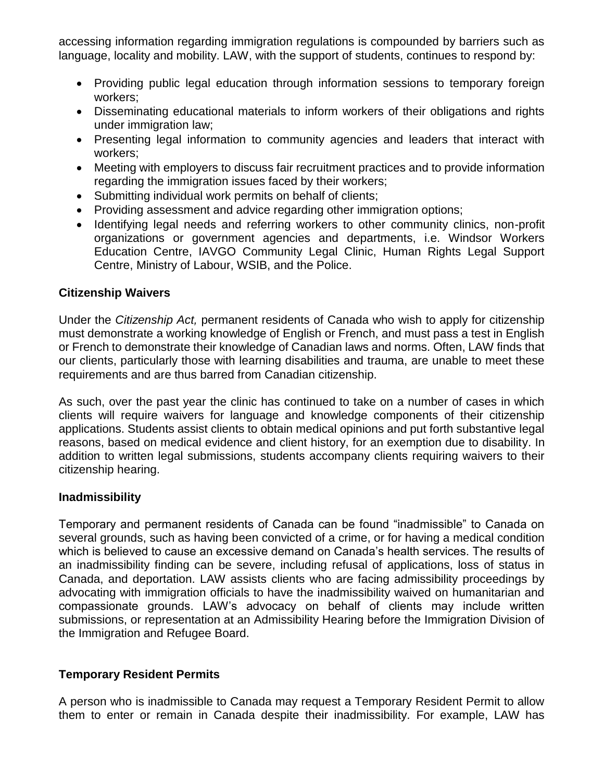accessing information regarding immigration regulations is compounded by barriers such as language, locality and mobility. LAW, with the support of students, continues to respond by:

- Providing public legal education through information sessions to temporary foreign workers;
- Disseminating educational materials to inform workers of their obligations and rights under immigration law;
- Presenting legal information to community agencies and leaders that interact with workers;
- Meeting with employers to discuss fair recruitment practices and to provide information regarding the immigration issues faced by their workers;
- Submitting individual work permits on behalf of clients;
- Providing assessment and advice regarding other immigration options;
- Identifying legal needs and referring workers to other community clinics, non-profit organizations or government agencies and departments, i.e. Windsor Workers Education Centre, IAVGO Community Legal Clinic, Human Rights Legal Support Centre, Ministry of Labour, WSIB, and the Police.

#### **Citizenship Waivers**

Under the *Citizenship Act,* permanent residents of Canada who wish to apply for citizenship must demonstrate a working knowledge of English or French, and must pass a test in English or French to demonstrate their knowledge of Canadian laws and norms. Often, LAW finds that our clients, particularly those with learning disabilities and trauma, are unable to meet these requirements and are thus barred from Canadian citizenship.

As such, over the past year the clinic has continued to take on a number of cases in which clients will require waivers for language and knowledge components of their citizenship applications. Students assist clients to obtain medical opinions and put forth substantive legal reasons, based on medical evidence and client history, for an exemption due to disability. In addition to written legal submissions, students accompany clients requiring waivers to their citizenship hearing.

#### **Inadmissibility**

Temporary and permanent residents of Canada can be found "inadmissible" to Canada on several grounds, such as having been convicted of a crime, or for having a medical condition which is believed to cause an excessive demand on Canada's health services. The results of an inadmissibility finding can be severe, including refusal of applications, loss of status in Canada, and deportation. LAW assists clients who are facing admissibility proceedings by advocating with immigration officials to have the inadmissibility waived on humanitarian and compassionate grounds. LAW's advocacy on behalf of clients may include written submissions, or representation at an Admissibility Hearing before the Immigration Division of the Immigration and Refugee Board.

#### **Temporary Resident Permits**

A person who is inadmissible to Canada may request a Temporary Resident Permit to allow them to enter or remain in Canada despite their inadmissibility. For example, LAW has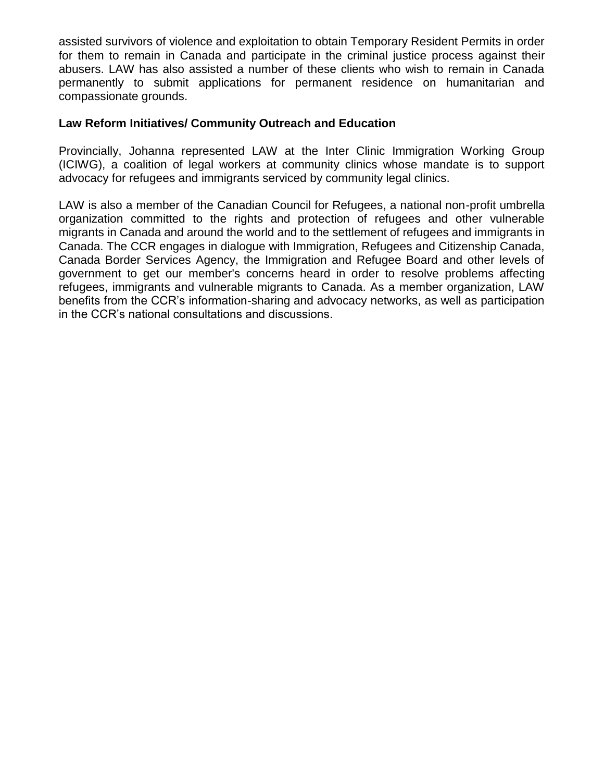assisted survivors of violence and exploitation to obtain Temporary Resident Permits in order for them to remain in Canada and participate in the criminal justice process against their abusers. LAW has also assisted a number of these clients who wish to remain in Canada permanently to submit applications for permanent residence on humanitarian and compassionate grounds.

#### **Law Reform Initiatives/ Community Outreach and Education**

Provincially, Johanna represented LAW at the Inter Clinic Immigration Working Group (ICIWG), a coalition of legal workers at community clinics whose mandate is to support advocacy for refugees and immigrants serviced by community legal clinics.

LAW is also a member of the Canadian Council for Refugees, a national non-profit umbrella organization committed to the rights and protection of refugees and other vulnerable migrants in Canada and around the world and to the settlement of refugees and immigrants in Canada. The CCR engages in dialogue with Immigration, Refugees and Citizenship Canada, Canada Border Services Agency, the Immigration and Refugee Board and other levels of government to get our member's concerns heard in order to resolve problems affecting refugees, immigrants and vulnerable migrants to Canada. As a member organization, LAW benefits from the CCR's information-sharing and advocacy networks, as well as participation in the CCR's national consultations and discussions.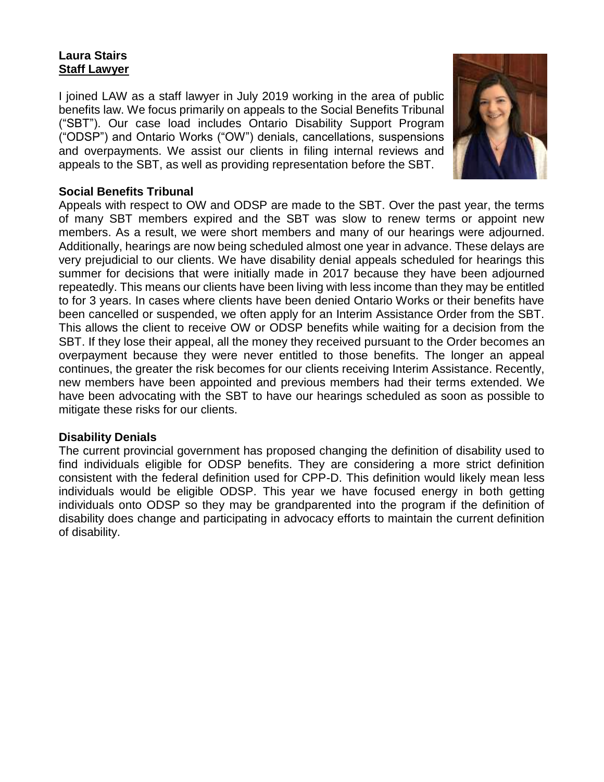## **Laura Stairs Staff Lawyer**

I joined LAW as a staff lawyer in July 2019 working in the area of public benefits law. We focus primarily on appeals to the Social Benefits Tribunal ("SBT"). Our case load includes Ontario Disability Support Program ("ODSP") and Ontario Works ("OW") denials, cancellations, suspensions and overpayments. We assist our clients in filing internal reviews and appeals to the SBT, as well as providing representation before the SBT.



## **Social Benefits Tribunal**

Appeals with respect to OW and ODSP are made to the SBT. Over the past year, the terms of many SBT members expired and the SBT was slow to renew terms or appoint new members. As a result, we were short members and many of our hearings were adjourned. Additionally, hearings are now being scheduled almost one year in advance. These delays are very prejudicial to our clients. We have disability denial appeals scheduled for hearings this summer for decisions that were initially made in 2017 because they have been adjourned repeatedly. This means our clients have been living with less income than they may be entitled to for 3 years. In cases where clients have been denied Ontario Works or their benefits have been cancelled or suspended, we often apply for an Interim Assistance Order from the SBT. This allows the client to receive OW or ODSP benefits while waiting for a decision from the SBT. If they lose their appeal, all the money they received pursuant to the Order becomes an overpayment because they were never entitled to those benefits. The longer an appeal continues, the greater the risk becomes for our clients receiving Interim Assistance. Recently, new members have been appointed and previous members had their terms extended. We have been advocating with the SBT to have our hearings scheduled as soon as possible to mitigate these risks for our clients.

#### **Disability Denials**

The current provincial government has proposed changing the definition of disability used to find individuals eligible for ODSP benefits. They are considering a more strict definition consistent with the federal definition used for CPP-D. This definition would likely mean less individuals would be eligible ODSP. This year we have focused energy in both getting individuals onto ODSP so they may be grandparented into the program if the definition of disability does change and participating in advocacy efforts to maintain the current definition of disability.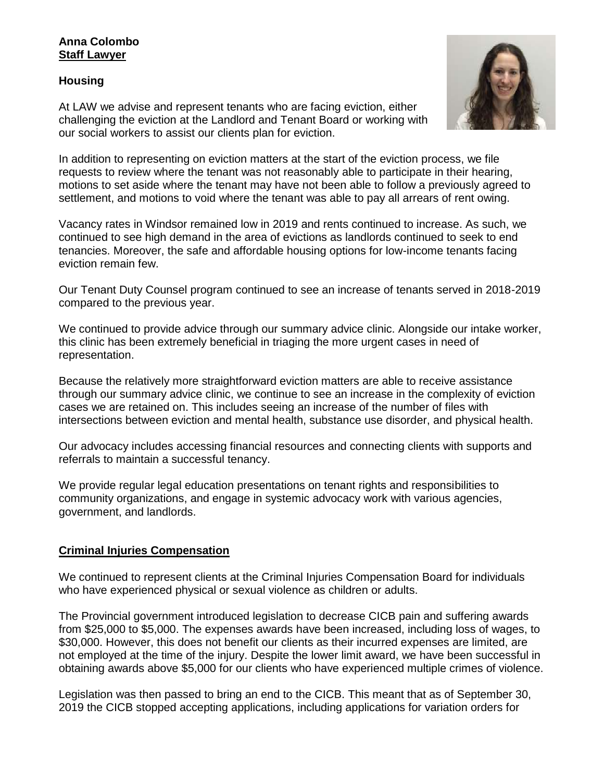#### **Anna Colombo Staff Lawyer**

#### **Housing**

At LAW we advise and represent tenants who are facing eviction, either challenging the eviction at the Landlord and Tenant Board or working with our social workers to assist our clients plan for eviction.



In addition to representing on eviction matters at the start of the eviction process, we file requests to review where the tenant was not reasonably able to participate in their hearing, motions to set aside where the tenant may have not been able to follow a previously agreed to settlement, and motions to void where the tenant was able to pay all arrears of rent owing.

Vacancy rates in Windsor remained low in 2019 and rents continued to increase. As such, we continued to see high demand in the area of evictions as landlords continued to seek to end tenancies. Moreover, the safe and affordable housing options for low-income tenants facing eviction remain few.

Our Tenant Duty Counsel program continued to see an increase of tenants served in 2018-2019 compared to the previous year.

We continued to provide advice through our summary advice clinic. Alongside our intake worker, this clinic has been extremely beneficial in triaging the more urgent cases in need of representation.

Because the relatively more straightforward eviction matters are able to receive assistance through our summary advice clinic, we continue to see an increase in the complexity of eviction cases we are retained on. This includes seeing an increase of the number of files with intersections between eviction and mental health, substance use disorder, and physical health.

Our advocacy includes accessing financial resources and connecting clients with supports and referrals to maintain a successful tenancy.

We provide regular legal education presentations on tenant rights and responsibilities to community organizations, and engage in systemic advocacy work with various agencies, government, and landlords.

#### **Criminal Injuries Compensation**

We continued to represent clients at the Criminal Injuries Compensation Board for individuals who have experienced physical or sexual violence as children or adults.

The Provincial government introduced legislation to decrease CICB pain and suffering awards from \$25,000 to \$5,000. The expenses awards have been increased, including loss of wages, to \$30,000. However, this does not benefit our clients as their incurred expenses are limited, are not employed at the time of the injury. Despite the lower limit award, we have been successful in obtaining awards above \$5,000 for our clients who have experienced multiple crimes of violence.

Legislation was then passed to bring an end to the CICB. This meant that as of September 30, 2019 the CICB stopped accepting applications, including applications for variation orders for